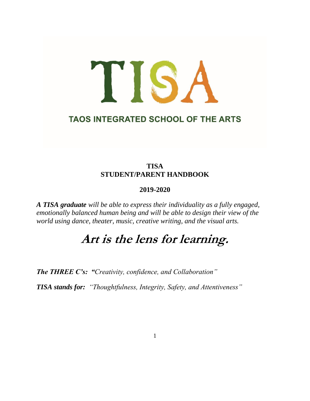# TISA **TAOS INTEGRATED SCHOOL OF THE ARTS**

# **TISA STUDENT/PARENT HANDBOOK**

# **2019-2020**

*A TISA graduate will be able to express their individuality as a fully engaged, emotionally balanced human being and will be able to design their view of the world using dance, theater, music, creative writing, and the visual arts.*

# **Art is the lens for learning.**

*The THREE C's: "Creativity, confidence, and Collaboration"*

*TISA stands for: "Thoughtfulness, Integrity, Safety, and Attentiveness"*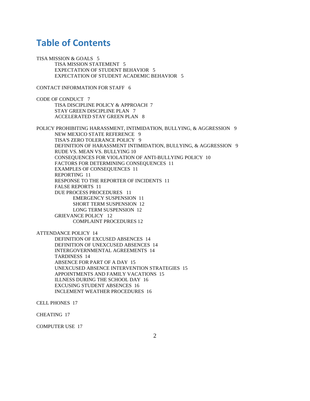# **Table of Contents**

TISA MISSION & GOALS 5 TISA MISSION STATEMENT 5 EXPECTATION OF STUDENT BEHAVIOR 5 EXPECTATION OF STUDENT ACADEMIC BEHAVIOR 5

CONTACT INFORMATION FOR STAFF 6

CODE OF CONDUCT 7 TISA DISCIPLINE POLICY & APPROACH 7 STAY GREEN DISCIPLINE PLAN 7 ACCELERATED STAY GREEN PLAN 8

POLICY PROHIBITING HARASSMENT, INTIMIDATION, BULLYING, & AGGRESSION 9 NEW MEXICO STATE REFERENCE 9 TISA'S ZERO TOLERANCE POLICY 9 DEFINITION OF HARASSMENT INTIMIDATION, BULLYING, & AGGRESSION 9 RUDE VS. MEAN VS. BULLYING 10 CONSEQUENCES FOR VIOLATION OF ANTI-BULLYING POLICY 10 FACTORS FOR DETERMINING CONSEQUENCES 11 EXAMPLES OF CONSEQUENCES 11 REPORTING 11 RESPONSE TO THE REPORTER OF INCIDENTS 11 FALSE REPORTS 11 DUE PROCESS PROCEDURES 11 EMERGENCY SUSPENSION 11 SHORT TERM SUSPENSION 12 LONG TERM SUSPENSION 12 GRIEVANCE POLICY 12 COMPLAINT PROCEDURES 12

ATTENDANCE POLICY 14

DEFINITION OF EXCUSED ABSENCES 14 DEFINITION OF UNEXCUSED ABSENCES 14 INTERGOVERNMENTAL AGREEMENTS 14 TARDINESS 14 ABSENCE FOR PART OF A DAY 15 UNEXCUSED ABSENCE INTERVENTION STRATEGIES 15 APPOINTMENTS AND FAMILY VACATIONS 15 ILLNESS DURING THE SCHOOL DAY 16 EXCUSING STUDENT ABSENCES 16 INCLEMENT WEATHER PROCEDURES 16

CELL PHONES 17

CHEATING 17

COMPUTER USE 17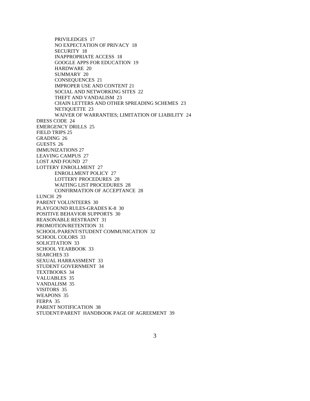PRIVILEDGES 17 NO EXPECTATION OF PRIVACY 18 SECURITY 18 INAPPROPRIATE ACCESS 18 GOOGLE APPS FOR EDUCATION 19 HARDWARE 20 SUMMARY 20 CONSEQUENCES 21 IMPROPER USE AND CONTENT 21 SOCIAL AND NETWORKING SITES 22 THEFT AND VANDALISM 23 CHAIN LETTERS AND OTHER SPREADING SCHEMES 23 NETIQUETTE 23 WAIVER OF WARRANTIES; LIMITATION OF LIABILITY 24 DRESS CODE 24 EMERGENCY DRILLS 25 FIELD TRIPS 25 GRADING 26 GUESTS 26 IMMUNIZATIONS 27 LEAVING CAMPUS 27 LOST AND FOUND 27 LOTTERY ENROLLMENT 27 ENROLLMENT POLICY 27 LOTTERY PROCEDURES 28 WAITING LIST PROCEDURES 28 CONFIRMATION OF ACCEPTANCE 28 LUNCH 29 PARENT VOLUNTEERS 30 PLAYGOUND RULES-GRADES K-8 30 POSITIVE BEHAVIOR SUPPORTS 30 REASONABLE RESTRAINT 31 PROMOTION/RETENTION 31 SCHOOL/PARENT/STUDENT COMMUNICATION 32 SCHOOL COLORS 33 SOLICITATION 33 SCHOOL YEARBOOK 33 SEARCHES 33 SEXUAL HARRASSMENT 33 STUDENT GOVERNMENT 34 TEXTBOOKS 34 VALUABLES 35 VANDALISM 35 VISITORS 35 WEAPONS 35 FERPA 35 PARENT NOTIFICATION 38 STUDENT/PARENT HANDBOOK PAGE OF AGREEMENT 39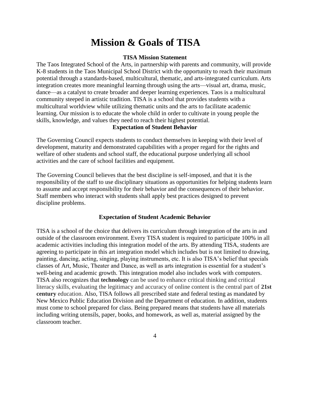# **Mission & Goals of TISA**

#### **TISA Mission Statement**

The Taos Integrated School of the Arts, in partnership with parents and community, will provide K-8 students in the Taos Municipal School District with the opportunity to reach their maximum potential through a standards-based, multicultural, thematic, and arts-integrated curriculum. Arts integration creates more meaningful learning through using the arts—visual art, drama, music, dance—as a catalyst to create broader and deeper learning experiences. Taos is a multicultural community steeped in artistic tradition. TISA is a school that provides students with a multicultural worldview while utilizing thematic units and the arts to facilitate academic learning. Our mission is to educate the whole child in order to cultivate in young people the skills, knowledge, and values they need to reach their highest potential.

#### **Expectation of Student Behavior**

The Governing Council expects students to conduct themselves in keeping with their level of development, maturity and demonstrated capabilities with a proper regard for the rights and welfare of other students and school staff, the educational purpose underlying all school activities and the care of school facilities and equipment.

The Governing Council believes that the best discipline is self-imposed, and that it is the responsibility of the staff to use disciplinary situations as opportunities for helping students learn to assume and accept responsibility for their behavior and the consequences of their behavior. Staff members who interact with students shall apply best practices designed to prevent discipline problems.

## **Expectation of Student Academic Behavior**

TISA is a school of the choice that delivers its curriculum through integration of the arts in and outside of the classroom environment. Every TISA student is required to participate 100% in all academic activities including this integration model of the arts. By attending TISA, students are agreeing to participate in this art integration model which includes but is not limited to drawing, painting, dancing, acting, singing, playing instruments, etc. It is also TISA's belief that specials classes of Art, Music, Theater and Dance, as well as arts integration is essential for a student's well-being and academic growth. This integration model also includes work with computers. TISA also recognizes that **technology** can be used to enhance critical thinking and critical literacy skills, evaluating the legitimacy and accuracy of online content is the central part of **21st century** education. Also, TISA follows all prescribed state and federal testing as mandated by New Mexico Public Education Division and the Department of education. In addition, students must come to school prepared for class. Being prepared means that students have all materials including writing utensils, paper, books, and homework, as well as, material assigned by the classroom teacher.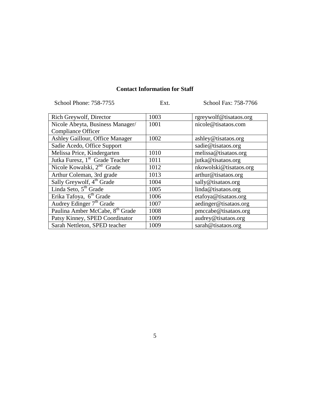# **Contact Information for Staff**

| School Phone: 758-7755 | Ext. | School Fax: 758-7766 |
|------------------------|------|----------------------|
|------------------------|------|----------------------|

| Rich Greywolf, Director                     | 1003 | rgreywolf@tisataos.org |
|---------------------------------------------|------|------------------------|
| Nicole Abeyta, Business Manager/            | 1001 | nicole@tisataos.com    |
| <b>Compliance Officer</b>                   |      |                        |
| Ashley Gaillour, Office Manager             | 1002 | ashley@tisataos.org    |
| Sadie Acedo, Office Support                 |      | sadie@tisataos.org     |
| Melissa Price, Kindergarten                 | 1010 | melissa@tisataos.org   |
| Jutka Furesz, 1 <sup>st</sup> Grade Teacher | 1011 | jutka@tisataos.org     |
| Nicole Kowalski, 2 <sup>nd</sup> Grade      | 1012 | nkowolski@tisataos.org |
| Arthur Coleman, 3rd grade                   | 1013 | arthur@tisataos.org    |
| Sally Greywolf, 4 <sup>th</sup> Grade       | 1004 | sally@tisataos.org     |
| Linda Seto, 5 <sup>th</sup> Grade           | 1005 | linda@tisataos.org     |
| Erika Tafoya, 6 <sup>th</sup> Grade         | 1006 | etafoya@tisataos.org   |
| Audrey Edinger 7 <sup>th</sup> Grade        | 1007 | aedinger@tisataos.org  |
| Paulina Amber McCabe, 8 <sup>th</sup> Grade | 1008 | pmccabe@tisataos.org   |
| Patsy Kinney, SPED Coordinator              | 1009 | audrey@tisataos.org    |
| Sarah Nettleton, SPED teacher               | 1009 | sarah@tisataos.org     |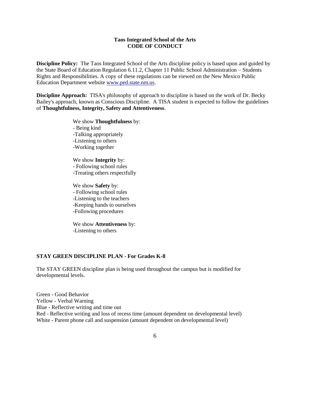#### **Taos Integrated School of the Arts CODE OF CONDUCT**

**Discipline Policy:** The Taos Integrated School of the Arts discipline policy is based upon and guided by the State Board of Education Regulation 6.11.2, Chapter 11 Public School Administration – Students Rights and Responsibilities. A copy of these regulations can be viewed on the New Mexico Public Education Department website [www.ped.state.nm.us.](http://www.ped.state.nm.us/)

**Discipline Approach:** TISA's philosophy of approach to discipline is based on the work of Dr. Becky Bailey's approach, known as Conscious Discipline. A TISA student is expected to follow the guidelines of **Thoughtfulness, Integrity, Safety and Attentiveness**.

> We show **Thoughtfulness** by: - Being kind -Talking appropriately -Listening to others -Working together

We show **Integrity** by: - Following school rules -Treating others respectfully

We show **Safety** by: - Following school rules -Listening to the teachers -Keeping hands to ourselves -Following procedures

We show **Attentiveness** by: -Listening to others

#### **STAY GREEN DISCIPLINE PLAN - For Grades K-8**

The STAY GREEN discipline plan is being used throughout the campus but is modified for developmental levels.

Green - Good Behavior Yellow - Verbal Warning Blue - Reflective writing and time out Red - Reflective writing and loss of recess time (amount dependent on developmental level) White - Parent phone call and suspension (amount dependent on developmental level)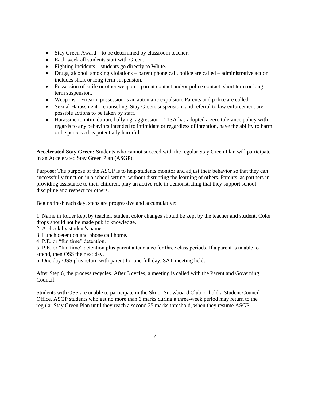- Stay Green Award to be determined by classroom teacher.
- Each week all students start with Green.
- Fighting incidents students go directly to White.
- Drugs, alcohol, smoking violations parent phone call, police are called administrative action includes short or long-term suspension.
- Possession of knife or other weapon parent contact and/or police contact, short term or long term suspension.
- Weapons Firearm possession is an automatic expulsion. Parents and police are called.
- Sexual Harassment counseling, Stay Green, suspension, and referral to law enforcement are possible actions to be taken by staff.
- Harassment, intimidation, bullying, aggression TISA has adopted a zero tolerance policy with regards to any behaviors intended to intimidate or regardless of intention, have the ability to harm or be perceived as potentially harmful.

**Accelerated Stay Green:** Students who cannot succeed with the regular Stay Green Plan will participate in an Accelerated Stay Green Plan (ASGP).

Purpose: The purpose of the ASGP is to help students monitor and adjust their behavior so that they can successfully function in a school setting, without disrupting the learning of others. Parents, as partners in providing assistance to their children, play an active role in demonstrating that they support school discipline and respect for others.

Begins fresh each day, steps are progressive and accumulative:

1. Name in folder kept by teacher, student color changes should be kept by the teacher and student. Color drops should not be made public knowledge.

- 2. A check by student's name
- 3. Lunch detention and phone call home.
- 4. P.E. or "fun time" detention.

5. P.E. or "fun time" detention plus parent attendance for three class periods. If a parent is unable to attend, then OSS the next day.

6. One day OSS plus return with parent for one full day. SAT meeting held.

After Step 6, the process recycles. After 3 cycles, a meeting is called with the Parent and Governing Council.

Students with OSS are unable to participate in the Ski or Snowboard Club or hold a Student Council Office. ASGP students who get no more than 6 marks during a three-week period may return to the regular Stay Green Plan until they reach a second 35 marks threshold, when they resume ASGP.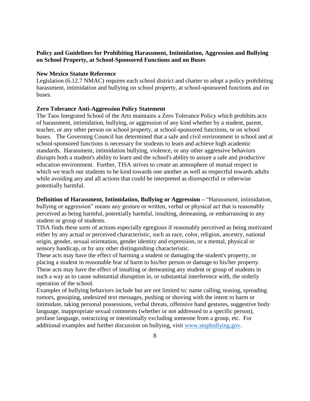# **Policy and Guidelines for Prohibiting Harassment, Intimidation, Aggression and Bullying on School Property, at School-Sponsored Functions and on Buses**

#### **New Mexico Statute Reference**

Legislation (6.12.7 NMAC) requires each school district and charter to adopt a policy prohibiting harassment, intimidation and bullying on school property, at school-sponsored functions and on buses.

#### **Zero Tolerance Anti-Aggression Policy Statement**

The Taos Integrated School of the Arts maintains a Zero Tolerance Policy which prohibits acts of harassment, intimidation, bullying, or aggression of any kind whether by a student, parent, teacher, or any other person on school property, at school-sponsored functions, or on school buses. The Governing Council has determined that a safe and civil environment in school and at school-sponsored functions is necessary for students to learn and achieve high academic standards. Harassment, intimidation bullying, violence, or any other aggressive behaviors disrupts both a student's ability to learn and the school's ability to assure a safe and productive education environment. Further, TISA strives to create an atmosphere of mutual respect in which we teach our students to be kind towards one another as well as respectful towards adults while avoiding any and all actions that could be interpreted as disrespectful or otherwise potentially harmful.

**Definition of Harassment, Intimidation, Bullying or Aggression –** "Harassment, intimidation, bullying or aggression" means any gesture or written, verbal or physical act that is reasonably perceived as being harmful, potentially harmful, insulting, demeaning, or embarrassing to any student or group of students.

TISA finds these sorts of actions especially egregious if reasonably perceived as being motivated either by any actual or perceived characteristic, such as race, color, religion, ancestry, national origin, gender, sexual orientation, gender identity and expression, or a mental, physical or sensory handicap, or by any other distinguishing characteristic.

These acts may have the effect of harming a student or damaging the student's property, or placing a student in reasonable fear of harm to his/her person or damage to his/her property. These acts may have the effect of insulting or demeaning any student or group of students in such a way as to cause substantial disruption in, or substantial interference with, the orderly operation of the school.

Examples of bullying behaviors include but are not limited to: name calling, teasing, spreading rumors, gossiping, undesired text messages, pushing or shoving with the intent to harm or intimidate, taking personal possessions, verbal threats, offensive hand gestures, suggestive body language, inappropriate sexual comments (whether or not addressed to a specific person), profane language, ostracizing or intentionally excluding someone from a group, etc. For additional examples and further discussion on bullying, visit [www.stopbullying.gov.](http://www.stopbullying.gov/)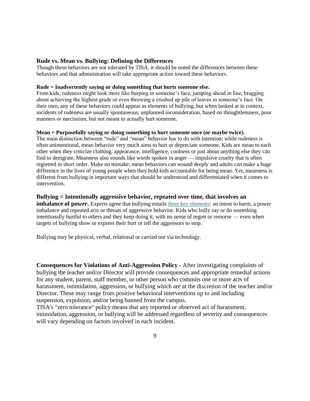#### **Rude vs. Mean vs. Bullying: Defining the Differences**

Though these behaviors are not tolerated by TISA, it should be noted the differences between these behaviors and that administration will take appropriate action toward these behaviors.

#### **Rude = Inadvertently saying or doing something that hurts someone else.**

From kids, rudeness might look more like burping in someone's face, jumping ahead in line, bragging about achieving the highest grade or even throwing a crushed up pile of leaves in someone's face. On their own, any of these behaviors could appear as elements of bullying, but when looked at in context, incidents of rudeness are usually spontaneous, unplanned inconsideration, based on thoughtlessness, poor manners or narcissism, but not meant to actually hurt someone.

#### **Mean = Purposefully saying or doing something to hurt someone once (or maybe twice).**

The main distinction between "rude" and "mean" behavior has to do with intention; while rudeness is often unintentional, mean behavior very much aims to hurt or depreciate someone. Kids are mean to each other when they criticize clothing, appearance, intelligence, coolness or just about anything else they can find to denigrate. Meanness also sounds like words spoken in anger — impulsive cruelty that is often regretted in short order. Make no mistake; mean behaviors can wound deeply and adults can make a huge difference in the lives of young people when they hold kids accountable for being mean. Yet, meanness is different from bullying in important ways that should be understood and differentiated when it comes to intervention.

#### **Bullying = Intentionally aggressive behavior, repeated over time, that involves an**

**imbalance of power.** Experts agree that bullying entails [three key elements:](http://www.choosito.com/blog/en/elements-of-bullying/) an intent to harm, a power imbalance and repeated acts or threats of aggressive behavior. Kids who bully say or do something intentionally hurtful to others and they keep doing it, with no sense of regret or remorse — even when targets of bullying show or express their hurt or tell the aggressors to stop.

Bullying may be physical, verbal, relational or carried out via technology.

**Consequences for Violations of Anti-Aggression Policy** - After investigating complaints of bullying the teacher and/or Director will provide consequences and appropriate remedial actions for any student, parent, staff member, or other person who commits one or more acts of harassment, intimidation, aggression, or bullying which are at the discretion of the teacher and/or Director. These may range from positive behavioral interventions up to and including suspension, expulsion, and/or being banned from the campus.

TISA's "zero tolerance" policy means that any reported or observed act of harassment, intimidation, aggression, or bullying will be addressed regardless of severity and consequences will vary depending on factors involved in each incident.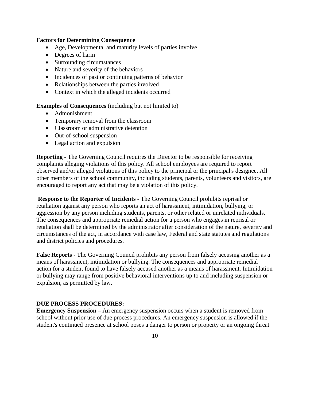#### **Factors for Determining Consequence**

- Age, Developmental and maturity levels of parties involve
- Degrees of harm
- Surrounding circumstances
- Nature and severity of the behaviors
- Incidences of past or continuing patterns of behavior
- Relationships between the parties involved
- Context in which the alleged incidents occurred

**Examples of Consequences** (including but not limited to)

- Admonishment
- Temporary removal from the classroom
- Classroom or administrative detention
- Out-of-school suspension
- Legal action and expulsion

**Reporting -** The Governing Council requires the Director to be responsible for receiving complaints alleging violations of this policy. All school employees are required to report observed and/or alleged violations of this policy to the principal or the principal's designee. All other members of the school community, including students, parents, volunteers and visitors, are encouraged to report any act that may be a violation of this policy.

**Response to the Reporter of Incidents -** The Governing Council prohibits reprisal or retaliation against any person who reports an act of harassment, intimidation, bullying, or aggression by any person including students, parents, or other related or unrelated individuals. The consequences and appropriate remedial action for a person who engages in reprisal or retaliation shall be determined by the administrator after consideration of the nature, severity and circumstances of the act, in accordance with case law, Federal and state statutes and regulations and district policies and procedures.

**False Reports -** The Governing Council prohibits any person from falsely accusing another as a means of harassment, intimidation or bullying. The consequences and appropriate remedial action for a student found to have falsely accused another as a means of harassment. Intimidation or bullying may range from positive behavioral interventions up to and including suspension or expulsion, as permitted by law.

#### **DUE PROCESS PROCEDURES:**

**Emergency Suspension –** An emergency suspension occurs when a student is removed from school without prior use of due process procedures. An emergency suspension is allowed if the student's continued presence at school poses a danger to person or property or an ongoing threat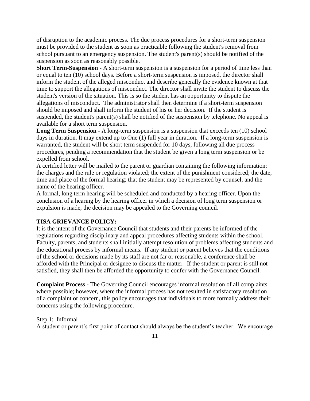of disruption to the academic process. The due process procedures for a short-term suspension must be provided to the student as soon as practicable following the student's removal from school pursuant to an emergency suspension. The student's parent(s) should be notified of the suspension as soon as reasonably possible.

**Short Term-Suspension -** A short-term suspension is a suspension for a period of time less than or equal to ten (10) school days. Before a short-term suspension is imposed, the director shall inform the student of the alleged misconduct and describe generally the evidence known at that time to support the allegations of misconduct. The director shall invite the student to discuss the student's version of the situation. This is so the student has an opportunity to dispute the allegations of misconduct. The administrator shall then determine if a short-term suspension should be imposed and shall inform the student of his or her decision. If the student is suspended, the student's parent(s) shall be notified of the suspension by telephone. No appeal is available for a short term suspension.

Long Term Suspension - A long-term suspension is a suspension that exceeds ten (10) school days in duration. It may extend up to One (1) full year in duration. If a long-term suspension is warranted, the student will be short term suspended for 10 days, following all due process procedures, pending a recommendation that the student be given a long term suspension or be expelled from school.

A certified letter will be mailed to the parent or guardian containing the following information: the charges and the rule or regulation violated; the extent of the punishment considered; the date, time and place of the formal hearing; that the student may be represented by counsel, and the name of the hearing officer.

A formal, long term hearing will be scheduled and conducted by a hearing officer. Upon the conclusion of a hearing by the hearing officer in which a decision of long term suspension or expulsion is made, the decision may be appealed to the Governing council.

# **TISA GRIEVANCE POLICY:**

It is the intent of the Governance Council that students and their parents be informed of the regulations regarding disciplinary and appeal procedures affecting students within the school. Faculty, parents, and students shall initially attempt resolution of problems affecting students and the educational process by informal means. If any student or parent believes that the conditions of the school or decisions made by its staff are not far or reasonable, a conference shall be afforded with the Principal or designee to discuss the matter. If the student or parent is still not satisfied, they shall then be afforded the opportunity to confer with the Governance Council.

**Complaint Process -** The Governing Council encourages informal resolution of all complaints where possible; however, where the informal process has not resulted in satisfactory resolution of a complaint or concern, this policy encourages that individuals to more formally address their concerns using the following procedure.

# Step 1: Informal

A student or parent's first point of contact should always be the student's teacher. We encourage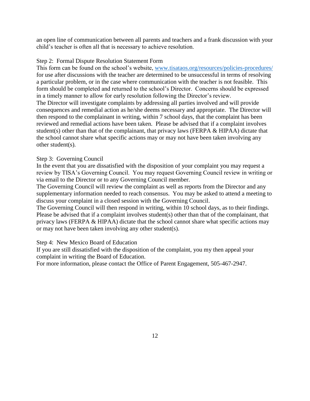an open line of communication between all parents and teachers and a frank discussion with your child's teacher is often all that is necessary to achieve resolution.

# Step 2: Formal Dispute Resolution Statement Form

This form can be found on the school's website, [www.tisataos.org/resources/policies-procedures/](http://www.tisataos.org/resources/policies-procedures/) for use after discussions with the teacher are determined to be unsuccessful in terms of resolving a particular problem, or in the case where communication with the teacher is not feasible. This form should be completed and returned to the school's Director. Concerns should be expressed in a timely manner to allow for early resolution following the Director's review.

The Director will investigate complaints by addressing all parties involved and will provide consequences and remedial action as he/she deems necessary and appropriate. The Director will then respond to the complainant in writing, within 7 school days, that the complaint has been reviewed and remedial actions have been taken. Please be advised that if a complaint involves student(s) other than that of the complainant, that privacy laws (FERPA & HIPAA) dictate that the school cannot share what specific actions may or may not have been taken involving any other student(s).

# Step 3: Governing Council

In the event that you are dissatisfied with the disposition of your complaint you may request a review by TISA's Governing Council. You may request Governing Council review in writing or via email to the Director or to any Governing Council member.

The Governing Council will review the complaint as well as reports from the Director and any supplementary information needed to reach consensus. You may be asked to attend a meeting to discuss your complaint in a closed session with the Governing Council.

The Governing Council will then respond in writing, within 10 school days, as to their findings. Please be advised that if a complaint involves student(s) other than that of the complainant, that privacy laws (FERPA & HIPAA) dictate that the school cannot share what specific actions may or may not have been taken involving any other student(s).

# Step 4: New Mexico Board of Education

If you are still dissatisfied with the disposition of the complaint, you my then appeal your complaint in writing the Board of Education.

For more information, please contact the Office of Parent Engagement, 505-467-2947.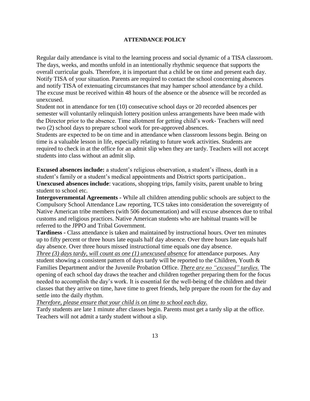#### **ATTENDANCE POLICY**

Regular daily attendance is vital to the learning process and social dynamic of a TISA classroom. The days, weeks, and months unfold in an intentionally rhythmic sequence that supports the overall curricular goals. Therefore, it is important that a child be on time and present each day. Notify TISA of your situation. Parents are required to contact the school concerning absences and notify TISA of extenuating circumstances that may hamper school attendance by a child. The excuse must be received within 48 hours of the absence or the absence will be recorded as unexcused.

Student not in attendance for ten (10) consecutive school days or 20 recorded absences per semester will voluntarily relinquish lottery position unless arrangements have been made with the Director prior to the absence. Time allotment for getting child's work- Teachers will need two (2) school days to prepare school work for pre-approved absences.

Students are expected to be on time and in attendance when classroom lessons begin. Being on time is a valuable lesson in life, especially relating to future work activities. Students are required to check in at the office for an admit slip when they are tardy. Teachers will not accept students into class without an admit slip.

**Excused absences include:** a student's religious observation, a student's illness, death in a student's family or a student's medical appointments and District sports participation.. **Unexcused absences include**: vacations, shopping trips, family visits, parent unable to bring student to school etc.

**Intergovernmental Agreements -** While all children attending public schools are subject to the Compulsory School Attendance Law reporting, TCS takes into consideration the sovereignty of Native American tribe members (with 506 documentation) and will excuse absences due to tribal customs and religious practices. Native American students who are habitual truants will be referred to the JPPO and Tribal Government.

**Tardiness -** Class attendance is taken and maintained by instructional hours. Over ten minutes up to fifty percent or three hours late equals half day absence. Over three hours late equals half day absence. Over three hours missed instructional time equals one day absence.

*Three (3) days tardy, will count as one (1) unexcused absence* for attendance purposes. Any student showing a consistent pattern of days tardy will be reported to the Children, Youth & Families Department and/or the Juvenile Probation Office. *There are no "excused" tardies.* The opening of each school day draws the teacher and children together preparing them for the focus needed to accomplish the day's work. It is essential for the well-being of the children and their classes that they arrive on time, have time to greet friends, help prepare the room for the day and settle into the daily rhythm.

*Therefore, please ensure that your child is on time to school each day.*

Tardy students are late 1 minute after classes begin. Parents must get a tardy slip at the office. Teachers will not admit a tardy student without a slip.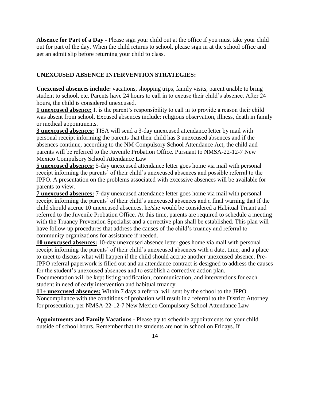**Absence for Part of a Day -** Please sign your child out at the office if you must take your child out for part of the day. When the child returns to school, please sign in at the school office and get an admit slip before returning your child to class.

# **UNEXCUSED ABSENCE INTERVENTION STRATEGIES:**

**Unexcused absences include:** vacations, shopping trips, family visits, parent unable to bring student to school, etc. Parents have 24 hours to call in to excuse their child's absence. After 24 hours, the child is considered unexcused.

**1 unexcused absence:** It is the parent's responsibility to call in to provide a reason their child was absent from school. Excused absences include: religious observation, illness, death in family or medical appointments.

**3 unexcused absences:** TISA will send a 3-day unexcused attendance letter by mail with personal receipt informing the parents that their child has 3 unexcused absences and if the absences continue, according to the NM Compulsory School Attendance Act, the child and parents will be referred to the Juvenile Probation Office. Pursuant to NMSA-22-12-7 New Mexico Compulsory School Attendance Law

**5 unexcused absences:** 5-day unexcused attendance letter goes home via mail with personal receipt informing the parents' of their child's unexcused absences and possible referral to the JPPO. A presentation on the problems associated with excessive absences will be available for parents to view.

**7 unexcused absences:** 7-day unexcused attendance letter goes home via mail with personal receipt informing the parents' of their child's unexcused absences and a final warning that if the child should accrue 10 unexcused absences, he/she would be considered a Habitual Truant and referred to the Juvenile Probation Office. At this time, parents are required to schedule a meeting with the Truancy Prevention Specialist and a corrective plan shall be established. This plan will have follow-up procedures that address the causes of the child's truancy and referral to community organizations for assistance if needed.

**10 unexcused absences:** 10-day unexcused absence letter goes home via mail with personal receipt informing the parents' of their child's unexcused absences with a date, time, and a place to meet to discuss what will happen if the child should accrue another unexcused absence. Pre-JPPO referral paperwork is filled out and an attendance contract is designed to address the causes for the student's unexcused absences and to establish a corrective action plan.

Documentation will be kept listing notification, communication, and interventions for each student in need of early intervention and habitual truancy.

**11+ unexcused absences:** Within 7 days a referral will sent by the school to the JPPO. Noncompliance with the conditions of probation will result in a referral to the District Attorney for prosecution, per NMSA-22-12-7 New Mexico Compulsory School Attendance Law

**Appointments and Family Vacations -** Please try to schedule appointments for your child outside of school hours. Remember that the students are not in school on Fridays. If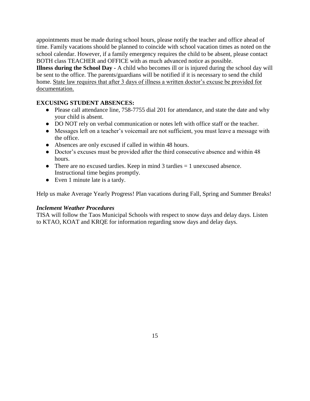appointments must be made during school hours, please notify the teacher and office ahead of time. Family vacations should be planned to coincide with school vacation times as noted on the school calendar. However, if a family emergency requires the child to be absent, please contact BOTH class TEACHER and OFFICE with as much advanced notice as possible.

**Illness during the School Day -** A child who becomes ill or is injured during the school day will be sent to the office. The parents/guardians will be notified if it is necessary to send the child home. State law requires that after 3 days of illness a written doctor's excuse be provided for documentation.

# **EXCUSING STUDENT ABSENCES:**

- Please call attendance line, 758-7755 dial 201 for attendance, and state the date and why your child is absent.
- DO NOT rely on verbal communication or notes left with office staff or the teacher.
- Messages left on a teacher's voicemail are not sufficient, you must leave a message with the office.
- Absences are only excused if called in within 48 hours.
- Doctor's excuses must be provided after the third consecutive absence and within 48 hours.
- There are no excused tardies. Keep in mind  $3$  tardies  $= 1$  unexcused absence. Instructional time begins promptly.
- Even 1 minute late is a tardy.

Help us make Average Yearly Progress! Plan vacations during Fall, Spring and Summer Breaks!

# *Inclement Weather Procedures*

TISA will follow the Taos Municipal Schools with respect to snow days and delay days. Listen to KTAO, KOAT and KRQE for information regarding snow days and delay days.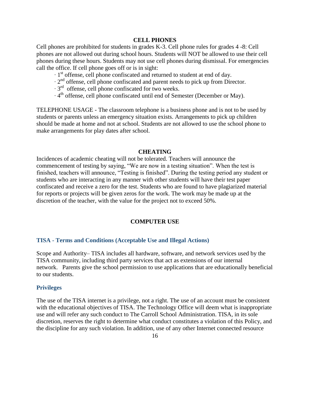#### **CELL PHONES**

Cell phones are prohibited for students in grades K-3. Cell phone rules for grades 4 -8: Cell phones are not allowed out during school hours. Students will NOT be allowed to use their cell phones during these hours. Students may not use cell phones during dismissal. For emergencies call the office. If cell phone goes off or is in sight:

∙ 1 st offense, cell phone confiscated and returned to student at end of day.

∙ 2 nd offense, cell phone confiscated and parent needs to pick up from Director.

∙ 3 rd offense, cell phone confiscated for two weeks.

∙ 4 th offense, cell phone confiscated until end of Semester (December or May).

TELEPHONE USAGE - The classroom telephone is a business phone and is not to be used by students or parents unless an emergency situation exists. Arrangements to pick up children should be made at home and not at school. Students are not allowed to use the school phone to make arrangements for play dates after school.

#### **CHEATING**

Incidences of academic cheating will not be tolerated. Teachers will announce the commencement of testing by saying, "We are now in a testing situation". When the test is finished, teachers will announce, "Testing is finished". During the testing period any student or students who are interacting in any manner with other students will have their test paper confiscated and receive a zero for the test. Students who are found to have plagiarized material for reports or projects will be given zeros for the work. The work may be made up at the discretion of the teacher, with the value for the project not to exceed 50%.

#### **COMPUTER USE**

#### **TISA - Terms and Conditions (Acceptable Use and Illegal Actions)**

Scope and Authority– TISA includes all hardware, software, and network services used by the TISA community, including third party services that act as extensions of our internal network. Parents give the school permission to use applications that are educationally beneficial to our students.

#### **Privileges**

The use of the TISA internet is a privilege, not a right. The use of an account must be consistent with the educational objectives of TISA. The Technology Office will deem what is inappropriate use and will refer any such conduct to The Carroll School Administration. TISA, in its sole discretion, reserves the right to determine what conduct constitutes a violation of this Policy, and the discipline for any such violation. In addition, use of any other Internet connected resource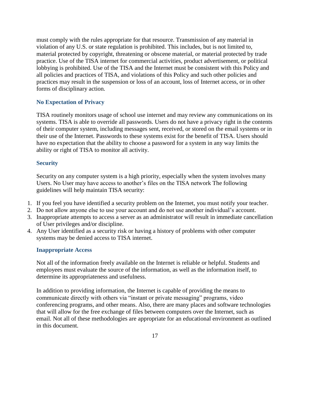must comply with the rules appropriate for that resource. Transmission of any material in violation of any U.S. or state regulation is prohibited. This includes, but is not limited to, material protected by copyright, threatening or obscene material, or material protected by trade practice. Use of the TISA internet for commercial activities, product advertisement, or political lobbying is prohibited. Use of the TISA and the Internet must be consistent with this Policy and all policies and practices of TISA, and violations of this Policy and such other policies and practices may result in the suspension or loss of an account, loss of Internet access, or in other forms of disciplinary action.

# **No Expectation of Privacy**

TISA routinely monitors usage of school use internet and may review any communications on its systems. TISA is able to override all passwords. Users do not have a privacy right in the contents of their computer system, including messages sent, received, or stored on the email systems or in their use of the Internet. Passwords to these systems exist for the benefit of TISA. Users should have no expectation that the ability to choose a password for a system in any way limits the ability or right of TISA to monitor all activity.

# **Security**

Security on any computer system is a high priority, especially when the system involves many Users. No User may have access to another's files on the TISA network The following guidelines will help maintain TISA security:

- 1. If you feel you have identified a security problem on the Internet, you must notify your teacher.
- 2. Do not allow anyone else to use your account and do not use another individual's account.
- 3. Inappropriate attempts to access a server as an administrator will result in immediate cancellation of User privileges and/or discipline.
- 4. Any User identified as a security risk or having a history of problems with other computer systems may be denied access to TISA internet.

#### **Inappropriate Access**

Not all of the information freely available on the Internet is reliable or helpful. Students and employees must evaluate the source of the information, as well as the information itself, to determine its appropriateness and usefulness.

In addition to providing information, the Internet is capable of providing the means to communicate directly with others via "instant or private messaging" programs, video conferencing programs, and other means. Also, there are many places and software technologies that will allow for the free exchange of files between computers over the Internet, such as email. Not all of these methodologies are appropriate for an educational environment as outlined in this document.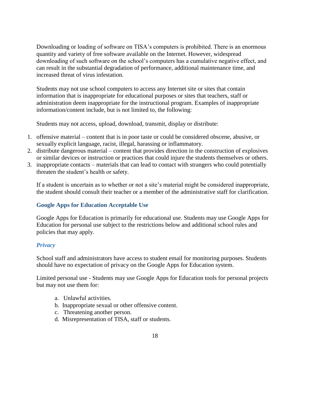Downloading or loading of software on TISA's computers is prohibited. There is an enormous quantity and variety of free software available on the Internet. However, widespread downloading of such software on the school's computers has a cumulative negative effect, and can result in the substantial degradation of performance, additional maintenance time, and increased threat of virus infestation.

Students may not use school computers to access any Internet site or sites that contain information that is inappropriate for educational purposes or sites that teachers, staff or administration deem inappropriate for the instructional program. Examples of inappropriate information/content include, but is not limited to, the following:

Students may not access, upload, download, transmit, display or distribute:

- 1. offensive material content that is in poor taste or could be considered obscene, abusive, or sexually explicit language, racist, illegal, harassing or inflammatory.
- 2. distribute dangerous material content that provides direction in the construction of explosives or similar devices or instruction or practices that could injure the students themselves or others.
- 3. inappropriate contacts materials that can lead to contact with strangers who could potentially threaten the student's health or safety.

If a student is uncertain as to whether or not a site's material might be considered inappropriate, the student should consult their teacher or a member of the administrative staff for clarification.

# **Google Apps for Education Acceptable Use**

Google Apps for Education is primarily for educational use. Students may use Google Apps for Education for personal use subject to the restrictions below and additional school rules and policies that may apply.

# *Privacy*

School staff and administrators have access to student email for monitoring purposes. Students should have no expectation of privacy on the Google Apps for Education system.

Limited personal use - Students may use Google Apps for Education tools for personal projects but may not use them for:

- a. Unlawful activities.
- b. Inappropriate sexual or other offensive content.
- c. Threatening another person.
- d. Misrepresentation of TISA, staff or students.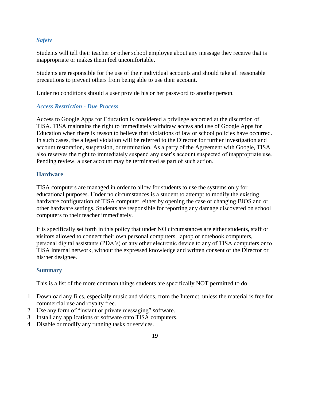# *Safety*

Students will tell their teacher or other school employee about any message they receive that is inappropriate or makes them feel uncomfortable.

Students are responsible for the use of their individual accounts and should take all reasonable precautions to prevent others from being able to use their account.

Under no conditions should a user provide his or her password to another person.

# *Access Restriction - Due Process*

Access to Google Apps for Education is considered a privilege accorded at the discretion of TISA. TISA maintains the right to immediately withdraw access and use of Google Apps for Education when there is reason to believe that violations of law or school policies have occurred. In such cases, the alleged violation will be referred to the Director for further investigation and account restoration, suspension, or termination. As a party of the Agreement with Google, TISA also reserves the right to immediately suspend any user's account suspected of inappropriate use. Pending review, a user account may be terminated as part of such action.

# **Hardware**

TISA computers are managed in order to allow for students to use the systems only for educational purposes. Under no circumstances is a student to attempt to modify the existing hardware configuration of TISA computer, either by opening the case or changing BIOS and or other hardware settings. Students are responsible for reporting any damage discovered on school computers to their teacher immediately.

It is specifically set forth in this policy that under NO circumstances are either students, staff or visitors allowed to connect their own personal computers, laptop or notebook computers, personal digital assistants (PDA's) or any other electronic device to any of TISA computers or to TISA internal network, without the expressed knowledge and written consent of the Director or his/her designee.

# **Summary**

This is a list of the more common things students are specifically NOT permitted to do.

- 1. Download any files, especially music and videos, from the Internet, unless the material is free for commercial use and royalty free.
- 2. Use any form of "instant or private messaging" software.
- 3. Install any applications or software onto TISA computers.
- 4. Disable or modify any running tasks or services.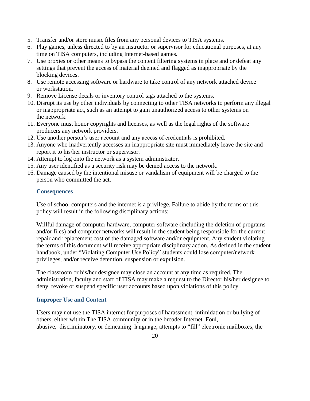- 5. Transfer and/or store music files from any personal devices to TISA systems.
- 6. Play games, unless directed to by an instructor or supervisor for educational purposes, at any time on TISA computers, including Internet-based games.
- 7. Use proxies or other means to bypass the content filtering systems in place and or defeat any settings that prevent the access of material deemed and flagged as inappropriate by the blocking devices.
- 8. Use remote accessing software or hardware to take control of any network attached device or workstation.
- 9. Remove License decals or inventory control tags attached to the systems.
- 10. Disrupt its use by other individuals by connecting to other TISA networks to perform any illegal or inappropriate act, such as an attempt to gain unauthorized access to other systems on the network.
- 11. Everyone must honor copyrights and licenses, as well as the legal rights of the software producers any network providers.
- 12. Use another person's user account and any access of credentials is prohibited.
- 13. Anyone who inadvertently accesses an inappropriate site must immediately leave the site and report it to his/her instructor or supervisor.
- 14. Attempt to log onto the network as a system administrator.
- 15. Any user identified as a security risk may be denied access to the network.
- 16. Damage caused by the intentional misuse or vandalism of equipment will be charged to the person who committed the act.

# **Consequences**

Use of school computers and the internet is a privilege. Failure to abide by the terms of this policy will result in the following disciplinary actions:

Willful damage of computer hardware, computer software (including the deletion of programs and/or files) and computer networks will result in the student being responsible for the current repair and replacement cost of the damaged software and/or equipment. Any student violating the terms of this document will receive appropriate disciplinary action. As defined in the student handbook, under "Violating Computer Use Policy" students could lose computer/network privileges, and/or receive detention, suspension or expulsion.

The classroom or his/her designee may close an account at any time as required. The administration, faculty and staff of TISA may make a request to the Director his/her designee to deny, revoke or suspend specific user accounts based upon violations of this policy.

# **Improper Use and Content**

Users may not use the TISA internet for purposes of harassment, intimidation or bullying of others, either within The TISA community or in the broader Internet. Foul, abusive, discriminatory, or demeaning language, attempts to "fill" electronic mailboxes, the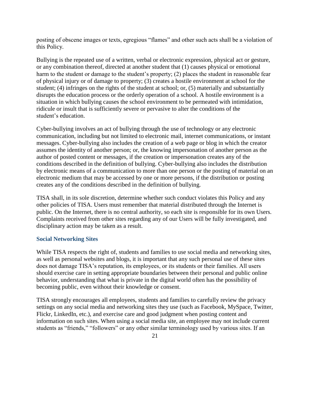posting of obscene images or texts, egregious "flames" and other such acts shall be a violation of this Policy.

Bullying is the repeated use of a written, verbal or electronic expression, physical act or gesture, or any combination thereof, directed at another student that (1) causes physical or emotional harm to the student or damage to the student's property; (2) places the student in reasonable fear of physical injury or of damage to property; (3) creates a hostile environment at school for the student; (4) infringes on the rights of the student at school; or, (5) materially and substantially disrupts the education process or the orderly operation of a school. A hostile environment is a situation in which bullying causes the school environment to be permeated with intimidation, ridicule or insult that is sufficiently severe or pervasive to alter the conditions of the student's education.

Cyber-bullying involves an act of bullying through the use of technology or any electronic communication, including but not limited to electronic mail, internet communications, or instant messages. Cyber-bullying also includes the creation of a web page or blog in which the creator assumes the identity of another person; or, the knowing impersonation of another person as the author of posted content or messages, if the creation or impersonation creates any of the conditions described in the definition of bullying. Cyber-bullying also includes the distribution by electronic means of a communication to more than one person or the posting of material on an electronic medium that may be accessed by one or more persons, if the distribution or posting creates any of the conditions described in the definition of bullying.

TISA shall, in its sole discretion, determine whether such conduct violates this Policy and any other policies of TISA. Users must remember that material distributed through the Internet is public. On the Internet, there is no central authority, so each site is responsible for its own Users. Complaints received from other sites regarding any of our Users will be fully investigated, and disciplinary action may be taken as a result.

#### **Social Networking Sites**

While TISA respects the right of, students and families to use social media and networking sites, as well as personal websites and blogs, it is important that any such personal use of these sites does not damage TISA's reputation, its employees, or its students or their families. All users should exercise care in setting appropriate boundaries between their personal and public online behavior, understanding that what is private in the digital world often has the possibility of becoming public, even without their knowledge or consent.

TISA strongly encourages all employees, students and families to carefully review the privacy settings on any social media and networking sites they use (such as Facebook, MySpace, Twitter, Flickr, LinkedIn, etc.), and exercise care and good judgment when posting content and information on such sites. When using a social media site, an employee may not include current students as "friends," "followers" or any other similar terminology used by various sites. If an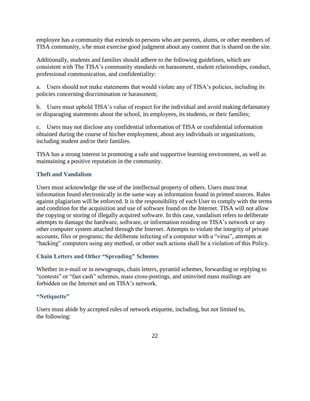employee has a community that extends to persons who are parents, alums, or other members of TISA community, s/he must exercise good judgment about any content that is shared on the site.

Additionally, students and families should adhere to the following guidelines, which are consistent with The TISA's community standards on harassment, student relationships, conduct, professional communication, and confidentiality:

a. Users should not make statements that would violate any of TISA's policies, including its policies concerning discrimination or harassment;

b. Users must uphold TISA's value of respect for the individual and avoid making defamatory or disparaging statements about the school, its employees, its students, or their families;

c. Users may not disclose any confidential information of TISA or confidential information obtained during the course of his/her employment, about any individuals or organizations, including student and/or their families.

TISA has a strong interest in promoting a safe and supportive learning environment, as well as maintaining a positive reputation in the community.

# **Theft and Vandalism**

Users must acknowledge the use of the intellectual property of others. Users must treat information found electronically in the same way as information found in printed sources. Rules against plagiarism will be enforced. It is the responsibility of each User to comply with the terms and condition for the acquisition and use of software found on the Internet. TISA will not allow the copying or storing of illegally acquired software. In this case, vandalism refers to deliberate attempts to damage the hardware, software, or information residing on TISA's network or any other computer system attached through the Internet. Attempts to violate the integrity of private accounts, files or programs; the deliberate infecting of a computer with a "virus", attempts at "hacking" computers using any method, or other such actions shall be a violation of this Policy.

# **Chain Letters and Other "Spreading" Schemes**

Whether in e-mail or in newsgroups, chain letters, pyramid schemes, forwarding or replying to "contests" or "fast cash" schemes, mass cross-postings, and uninvited mass mailings are forbidden on the Internet and on TISA's network.

# **"Netiquette"**

Users must abide by accepted rules of network etiquette, including, but not limited to, the following: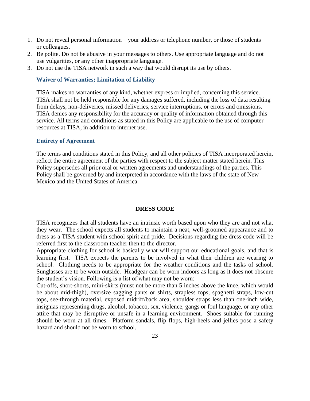- 1. Do not reveal personal information your address or telephone number, or those of students or colleagues.
- 2. Be polite. Do not be abusive in your messages to others. Use appropriate language and do not use vulgarities, or any other inappropriate language.
- 3. Do not use the TISA network in such a way that would disrupt its use by others.

### **Waiver of Warranties; Limitation of Liability**

TISA makes no warranties of any kind, whether express or implied, concerning this service. TISA shall not be held responsible for any damages suffered, including the loss of data resulting from delays, non-deliveries, missed deliveries, service interruptions, or errors and omissions. TISA denies any responsibility for the accuracy or quality of information obtained through this service. All terms and conditions as stated in this Policy are applicable to the use of computer resources at TISA, in addition to internet use.

#### **Entirety of Agreement**

The terms and conditions stated in this Policy, and all other policies of TISA incorporated herein, reflect the entire agreement of the parties with respect to the subject matter stated herein. This Policy supersedes all prior oral or written agreements and understandings of the parties. This Policy shall be governed by and interpreted in accordance with the laws of the state of New Mexico and the United States of America.

#### **DRESS CODE**

TISA recognizes that all students have an intrinsic worth based upon who they are and not what they wear. The school expects all students to maintain a neat, well-groomed appearance and to dress as a TISA student with school spirit and pride. Decisions regarding the dress code will be referred first to the classroom teacher then to the director.

Appropriate clothing for school is basically what will support our educational goals, and that is learning first. TISA expects the parents to be involved in what their children are wearing to school. Clothing needs to be appropriate for the weather conditions and the tasks of school. Sunglasses are to be worn outside. Headgear can be worn indoors as long as it does not obscure the student's vision. Following is a list of what may not be worn:

Cut-offs, short-shorts, mini-skirts (must not be more than 5 inches above the knee, which would be about mid-thigh), oversize sagging pants or shirts, strapless tops, spaghetti straps, low-cut tops, see-through material, exposed midriff/back area, shoulder straps less than one-inch wide, insignias representing drugs, alcohol, tobacco, sex, violence, gangs or foul language, or any other attire that may be disruptive or unsafe in a learning environment. Shoes suitable for running should be worn at all times. Platform sandals, flip flops, high-heels and jellies pose a safety hazard and should not be worn to school.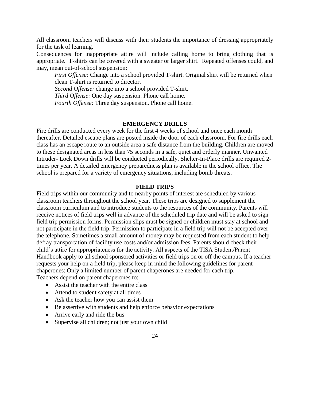All classroom teachers will discuss with their students the importance of dressing appropriately for the task of learning.

Consequences for inappropriate attire will include calling home to bring clothing that is appropriate. T-shirts can be covered with a sweater or larger shirt. Repeated offenses could, and may, mean out-of-school suspension:

*First Offense:* Change into a school provided T-shirt. Original shirt will be returned when clean T-shirt is returned to director.

*Second Offense:* change into a school provided T-shirt.

*Third Offense:* One day suspension. Phone call home.

*Fourth Offense:* Three day suspension. Phone call home.

#### **EMERGENCY DRILLS**

Fire drills are conducted every week for the first 4 weeks of school and once each month thereafter. Detailed escape plans are posted inside the door of each classroom. For fire drills each class has an escape route to an outside area a safe distance from the building. Children are moved to these designated areas in less than 75 seconds in a safe, quiet and orderly manner. Unwanted Intruder- Lock Down drills will be conducted periodically. Shelter-In-Place drills are required 2 times per year. A detailed emergency preparedness plan is available in the school office. The school is prepared for a variety of emergency situations, including bomb threats.

#### **FIELD TRIPS**

Field trips within our community and to nearby points of interest are scheduled by various classroom teachers throughout the school year. These trips are designed to supplement the classroom curriculum and to introduce students to the resources of the community. Parents will receive notices of field trips well in advance of the scheduled trip date and will be asked to sign field trip permission forms. Permission slips must be signed or children must stay at school and not participate in the field trip. Permission to participate in a field trip will not be accepted over the telephone. Sometimes a small amount of money may be requested from each student to help defray transportation of facility use costs and/or admission fees. Parents should check their child's attire for appropriateness for the activity. All aspects of the TISA Student/Parent Handbook apply to all school sponsored activities or field trips on or off the campus. If a teacher requests your help on a field trip, please keep in mind the following guidelines for parent chaperones: Only a limited number of parent chaperones are needed for each trip. Teachers depend on parent chaperones to:

- Assist the teacher with the entire class
- Attend to student safety at all times
- Ask the teacher how you can assist them
- Be assertive with students and help enforce behavior expectations
- Arrive early and ride the bus
- Supervise all children; not just your own child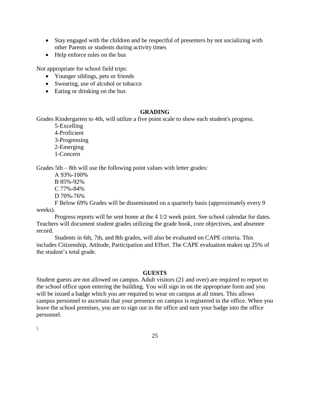- Stay engaged with the children and be respectful of presenters by not socializing with other Parents or students during activity times
- Help enforce rules on the bus

Not appropriate for school field trips:

- Younger siblings, pets or friends
- Swearing, use of alcohol or tobacco
- Eating or drinking on the bus

# **GRADING**

Grades Kindergarten to 4th, will utilize a five point scale to show each student's progress.

5-Excelling 4-Proficient 3-Progressing 2-Emerging 1-Concern

Grades 5th – 8th will use the following point values with letter grades:

A 93%-100% B 85%-92% C 77%-84% D 70%-76%

F Below 69% Grades will be disseminated on a quarterly basis (approximately every 9 weeks).

Progress reports will be sent home at the 4 1/2 week point. See school calendar for dates. Teachers will document student grades utilizing the grade book, core objectives, and absentee record.

Students in 6th, 7th, and 8th grades, will also be evaluated on CAPE criteria. This includes Citizenship, Attitude, Participation and Effort. The CAPE evaluation makes up 25% of the student's total grade.

# **GUESTS**

Student guests are not allowed on campus. Adult visitors (21 and over) are required to report to the school office upon entering the building. You will sign in on the appropriate form and you will be issued a badge which you are required to wear on campus at all times. This allows campus personnel to ascertain that your presence on campus is registered in the office. When you leave the school premises, you are to sign out in the office and turn your badge into the office personnel.

 $\setminus$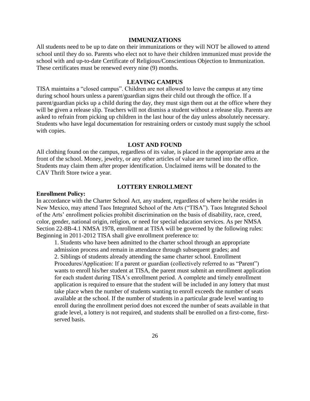#### **IMMUNIZATIONS**

All students need to be up to date on their immunizations or they will NOT be allowed to attend school until they do so. Parents who elect not to have their children immunized must provide the school with and up-to-date Certificate of Religious/Conscientious Objection to Immunization. These certificates must be renewed every nine (9) months.

#### **LEAVING CAMPUS**

TISA maintains a "closed campus". Children are not allowed to leave the campus at any time during school hours unless a parent/guardian signs their child out through the office. If a parent/guardian picks up a child during the day, they must sign them out at the office where they will be given a release slip. Teachers will not dismiss a student without a release slip. Parents are asked to refrain from picking up children in the last hour of the day unless absolutely necessary. Students who have legal documentation for restraining orders or custody must supply the school with copies.

#### **LOST AND FOUND**

All clothing found on the campus, regardless of its value, is placed in the appropriate area at the front of the school. Money, jewelry, or any other articles of value are turned into the office. Students may claim them after proper identification. Unclaimed items will be donated to the CAV Thrift Store twice a year.

#### **LOTTERY ENROLLMENT**

# **Enrollment Policy:**

In accordance with the Charter School Act, any student, regardless of where he/she resides in New Mexico, may attend Taos Integrated School of the Arts ("TISA"). Taos Integrated School of the Arts' enrollment policies prohibit discrimination on the basis of disability, race, creed, color, gender, national origin, religion, or need for special education services. As per NMSA Section 22-8B-4.1 NMSA 1978, enrollment at TISA will be governed by the following rules: Beginning in 2011-2012 TISA shall give enrollment preference to:

1. Students who have been admitted to the charter school through an appropriate admission process and remain in attendance through subsequent grades; and 2. Siblings of students already attending the same charter school. Enrollment Procedures/Application: If a parent or guardian (collectively referred to as "Parent") wants to enroll his/her student at TISA, the parent must submit an enrollment application for each student during TISA's enrollment period. A complete and timely enrollment application is required to ensure that the student will be included in any lottery that must take place when the number of students wanting to enroll exceeds the number of seats available at the school. If the number of students in a particular grade level wanting to enroll during the enrollment period does not exceed the number of seats available in that grade level, a lottery is not required, and students shall be enrolled on a first-come, firstserved basis.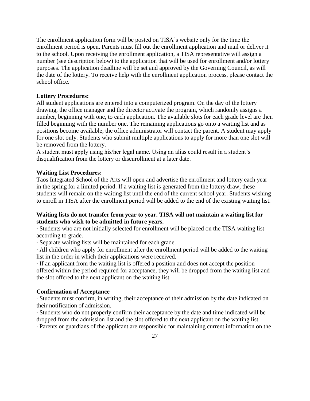The enrollment application form will be posted on TISA's website only for the time the enrollment period is open. Parents must fill out the enrollment application and mail or deliver it to the school. Upon receiving the enrollment application, a TISA representative will assign a number (see description below) to the application that will be used for enrollment and/or lottery purposes. The application deadline will be set and approved by the Governing Council, as will the date of the lottery. To receive help with the enrollment application process, please contact the school office.

# **Lottery Procedures:**

All student applications are entered into a computerized program. On the day of the lottery drawing, the office manager and the director activate the program, which randomly assigns a number, beginning with one, to each application. The available slots for each grade level are then filled beginning with the number one. The remaining applications go onto a waiting list and as positions become available, the office administrator will contact the parent. A student may apply for one slot only. Students who submit multiple applications to apply for more than one slot will be removed from the lottery.

A student must apply using his/her legal name. Using an alias could result in a student's disqualification from the lottery or disenrollment at a later date.

### **Waiting List Procedures:**

Taos Integrated School of the Arts will open and advertise the enrollment and lottery each year in the spring for a limited period. If a waiting list is generated from the lottery draw, these students will remain on the waiting list until the end of the current school year. Students wishing to enroll in TISA after the enrollment period will be added to the end of the existing waiting list.

# **Waiting lists do not transfer from year to year. TISA will not maintain a waiting list for students who wish to be admitted in future years.**

∙ Students who are not initially selected for enrollment will be placed on the TISA waiting list according to grade.

∙ Separate waiting lists will be maintained for each grade.

∙ All children who apply for enrollment after the enrollment period will be added to the waiting list in the order in which their applications were received.

∙ If an applicant from the waiting list is offered a position and does not accept the position offered within the period required for acceptance, they will be dropped from the waiting list and the slot offered to the next applicant on the waiting list.

#### **Confirmation of Acceptance**

∙ Students must confirm, in writing, their acceptance of their admission by the date indicated on their notification of admission.

∙ Students who do not properly confirm their acceptance by the date and time indicated will be dropped from the admission list and the slot offered to the next applicant on the waiting list.

∙ Parents or guardians of the applicant are responsible for maintaining current information on the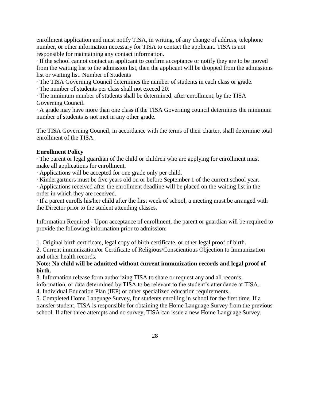enrollment application and must notify TISA, in writing, of any change of address, telephone number, or other information necessary for TISA to contact the applicant. TISA is not responsible for maintaining any contact information.

∙ If the school cannot contact an applicant to confirm acceptance or notify they are to be moved from the waiting list to the admission list, then the applicant will be dropped from the admissions list or waiting list. Number of Students

∙ The TISA Governing Council determines the number of students in each class or grade.

∙ The number of students per class shall not exceed 20.

∙ The minimum number of students shall be determined, after enrollment, by the TISA Governing Council.

∙ A grade may have more than one class if the TISA Governing council determines the minimum number of students is not met in any other grade.

The TISA Governing Council, in accordance with the terms of their charter, shall determine total enrollment of the TISA.

# **Enrollment Policy**

∙ The parent or legal guardian of the child or children who are applying for enrollment must make all applications for enrollment.

∙ Applications will be accepted for one grade only per child.

∙ Kindergartners must be five years old on or before September 1 of the current school year.

∙ Applications received after the enrollment deadline will be placed on the waiting list in the order in which they are received.

∙ If a parent enrolls his/her child after the first week of school, a meeting must be arranged with the Director prior to the student attending classes.

Information Required - Upon acceptance of enrollment, the parent or guardian will be required to provide the following information prior to admission:

1. Original birth certificate, legal copy of birth certificate, or other legal proof of birth.

2. Current immunization/or Certificate of Religious/Conscientious Objection to Immunization and other health records.

# **Note: No child will be admitted without current immunization records and legal proof of birth.**

3. Information release form authorizing TISA to share or request any and all records,

information, or data determined by TISA to be relevant to the student's attendance at TISA. 4. Individual Education Plan (IEP) or other specialized education requirements.

5. Completed Home Language Survey, for students enrolling in school for the first time. If a transfer student, TISA is responsible for obtaining the Home Language Survey from the previous school. If after three attempts and no survey, TISA can issue a new Home Language Survey.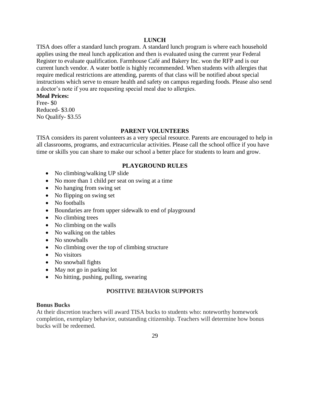# **LUNCH**

TISA does offer a standard lunch program. A standard lunch program is where each household applies using the meal lunch application and then is evaluated using the current year Federal Register to evaluate qualification. Farmhouse Café and Bakery Inc. won the RFP and is our current lunch vendor. A water bottle is highly recommended. When students with allergies that require medical restrictions are attending, parents of that class will be notified about special instructions which serve to ensure health and safety on campus regarding foods. Please also send a doctor's note if you are requesting special meal due to allergies.

# **Meal Prices:**

Free- \$0 Reduced- \$3.00 No Qualify- \$3.55

# **PARENT VOLUNTEERS**

TISA considers its parent volunteers as a very special resource. Parents are encouraged to help in all classrooms, programs, and extracurricular activities. Please call the school office if you have time or skills you can share to make our school a better place for students to learn and grow.

# **PLAYGROUND RULES**

- No climbing/walking UP slide
- No more than 1 child per seat on swing at a time
- No hanging from swing set
- No flipping on swing set
- No footballs
- Boundaries are from upper sidewalk to end of playground
- No climbing trees
- No climbing on the walls
- No walking on the tables
- No snowballs
- No climbing over the top of climbing structure
- No visitors
- No snowball fights
- May not go in parking lot
- No hitting, pushing, pulling, swearing

# **POSITIVE BEHAVIOR SUPPORTS**

#### **Bonus Bucks**

At their discretion teachers will award TISA bucks to students who: noteworthy homework completion, exemplary behavior, outstanding citizenship. Teachers will determine how bonus bucks will be redeemed.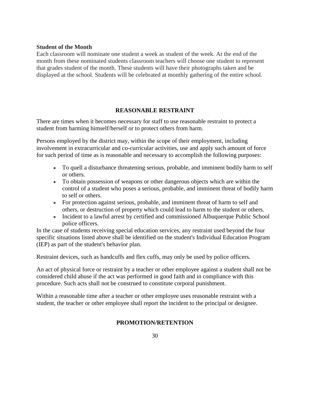# **Student of the Month**

Each classroom will nominate one student a week as student of the week. At the end of the month from these nominated students classroom teachers will choose one student to represent that grades student of the month. These students will have their photographs taken and be displayed at the school. Students will be celebrated at monthly gathering of the entire school.

# **REASONABLE RESTRAINT**

There are times when it becomes necessary for staff to use reasonable restraint to protect a student from harming himself/herself or to protect others from harm.

Persons employed by the district may, within the scope of their employment, including involvement in extracurricular and co-curricular activities, use and apply such amount of force for such period of time as is reasonable and necessary to accomplish the following purposes:

- To quell a disturbance threatening serious, probable, and imminent bodily harm to self or others.
- To obtain possession of weapons or other dangerous objects which are within the control of a student who poses a serious, probable, and imminent threat of bodily harm to self or others.
- For protection against serious, probable, and imminent threat of harm to self and others, or destruction of property which could lead to harm to the student or others.
- Incident to a lawful arrest by certified and commissioned Albuquerque Public School police officers.

In the case of students receiving special education services, any restraint used beyond the four specific situations listed above shall be identified on the student's Individual Education Program (IEP) as part of the student's behavior plan.

Restraint devices, such as handcuffs and flex cuffs, may only be used by police officers.

An act of physical force or restraint by a teacher or other employee against a student shall not be considered child abuse if the act was performed in good faith and in compliance with this procedure. Such acts shall not be construed to constitute corporal punishment.

Within a reasonable time after a teacher or other employee uses reasonable restraint with a student, the teacher or other employee shall report the incident to the principal or designee.

# **PROMOTION/RETENTION**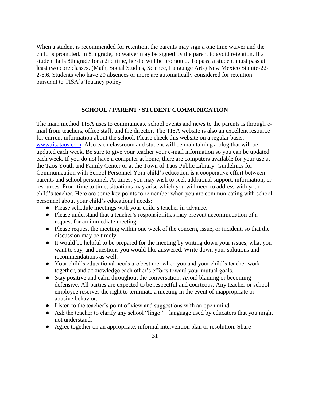When a student is recommended for retention, the parents may sign a one time waiver and the child is promoted. In 8th grade, no waiver may be signed by the parent to avoid retention. If a student fails 8th grade for a 2nd time, he/she will be promoted. To pass, a student must pass at least two core classes. (Math, Social Studies, Science, Language Arts) New Mexico Statute-22- 2-8.6. Students who have 20 absences or more are automatically considered for retention pursuant to TISA's Truancy policy.

### **SCHOOL / PARENT / STUDENT COMMUNICATION**

The main method TISA uses to communicate school events and news to the parents is through email from teachers, office staff, and the director. The TISA website is also an excellent resource for current information about the school. Please check this website on a regular basis: [www.tisataos.com.](http://www.tisataos.com/) Also each classroom and student will be maintaining a blog that will be updated each week. Be sure to give your teacher your e-mail information so you can be updated each week. If you do not have a computer at home, there are computers available for your use at the Taos Youth and Family Center or at the Town of Taos Public Library. Guidelines for Communication with School Personnel Your child's education is a cooperative effort between parents and school personnel. At times, you may wish to seek additional support, information, or resources. From time to time, situations may arise which you will need to address with your child's teacher. Here are some key points to remember when you are communicating with school personnel about your child's educational needs:

- Please schedule meetings with your child's teacher in advance.
- Please understand that a teacher's responsibilities may prevent accommodation of a request for an immediate meeting.
- Please request the meeting within one week of the concern, issue, or incident, so that the discussion may be timely.
- It would be helpful to be prepared for the meeting by writing down your issues, what you want to say, and questions you would like answered. Write down your solutions and recommendations as well.
- Your child's educational needs are best met when you and your child's teacher work together, and acknowledge each other's efforts toward your mutual goals.
- Stay positive and calm throughout the conversation. Avoid blaming or becoming defensive. All parties are expected to be respectful and courteous. Any teacher or school employee reserves the right to terminate a meeting in the event of inappropriate or abusive behavior.
- Listen to the teacher's point of view and suggestions with an open mind.
- Ask the teacher to clarify any school "lingo" language used by educators that you might not understand.
- Agree together on an appropriate, informal intervention plan or resolution. Share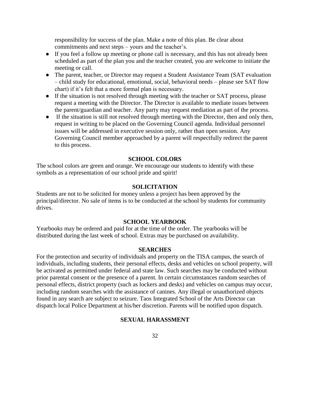responsibility for success of the plan. Make a note of this plan. Be clear about commitments and next steps – yours and the teacher's.

- If you feel a follow up meeting or phone call is necessary, and this has not already been scheduled as part of the plan you and the teacher created, you are welcome to initiate the meeting or call.
- The parent, teacher, or Director may request a Student Assistance Team (SAT evaluation – child study for educational, emotional, social, behavioral needs – please see SAT flow chart) if it's felt that a more formal plan is necessary.
- If the situation is not resolved through meeting with the teacher or SAT process, please request a meeting with the Director. The Director is available to mediate issues between the parent/guardian and teacher. Any party may request mediation as part of the process.
- If the situation is still not resolved through meeting with the Director, then and only then, request in writing to be placed on the Governing Council agenda. Individual personnel issues will be addressed in executive session only, rather than open session. Any Governing Council member approached by a parent will respectfully redirect the parent to this process.

#### **SCHOOL COLORS**

The school colors are green and orange. We encourage our students to identify with these symbols as a representation of our school pride and spirit!

# **SOLICITATION**

Students are not to be solicited for money unless a project has been approved by the principal/director. No sale of items is to be conducted at the school by students for community drives.

#### **SCHOOL YEARBOOK**

Yearbooks may be ordered and paid for at the time of the order. The yearbooks will be distributed during the last week of school. Extras may be purchased on availability.

#### **SEARCHES**

For the protection and security of individuals and property on the TISA campus, the search of individuals, including students, their personal effects, desks and vehicles on school property, will be activated as permitted under federal and state law. Such searches may be conducted without prior parental consent or the presence of a parent. In certain circumstances random searches of personal effects, district property (such as lockers and desks) and vehicles on campus may occur, including random searches with the assistance of canines. Any illegal or unauthorized objects found in any search are subject to seizure. Taos Integrated School of the Arts Director can dispatch local Police Department at his/her discretion. Parents will be notified upon dispatch.

#### **SEXUAL HARASSMENT**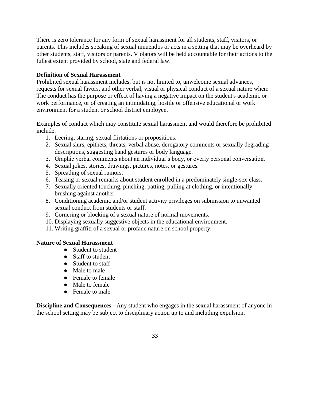There is zero tolerance for any form of sexual harassment for all students, staff, visitors, or parents. This includes speaking of sexual innuendos or acts in a setting that may be overheard by other students, staff, visitors or parents. Violators will be held accountable for their actions to the fullest extent provided by school, state and federal law.

# **Definition of Sexual Harassment**

Prohibited sexual harassment includes, but is not limited to, unwelcome sexual advances, requests for sexual favors, and other verbal, visual or physical conduct of a sexual nature when: The conduct has the purpose or effect of having a negative impact on the student's academic or work performance, or of creating an intimidating, hostile or offensive educational or work environment for a student or school district employee.

Examples of conduct which may constitute sexual harassment and would therefore be prohibited include:

- 1. Leering, staring, sexual flirtations or propositions.
- 2. Sexual slurs, epithets, threats, verbal abuse, derogatory comments or sexually degrading descriptions, suggesting hand gestures or body language.
- 3. Graphic verbal comments about an individual's body, or overly personal conversation.
- 4. Sexual jokes, stories, drawings, pictures, notes, or gestures.
- 5. Spreading of sexual rumors.
- 6. Teasing or sexual remarks about student enrolled in a predominately single-sex class.
- 7. Sexually oriented touching, pinching, patting, pulling at clothing, or intentionally brushing against another.
- 8. Conditioning academic and/or student activity privileges on submission to unwanted sexual conduct from students or staff.
- 9. Cornering or blocking of a sexual nature of normal movements.
- 10. Displaying sexually suggestive objects in the educational environment.
- 11. Writing graffiti of a sexual or profane nature on school property.

# **Nature of Sexual Harassment**

- Student to student
- Staff to student
- Student to staff
- Male to male
- Female to female
- Male to female
- Female to male

**Discipline and Consequences -** Any student who engages in the sexual harassment of anyone in the school setting may be subject to disciplinary action up to and including expulsion.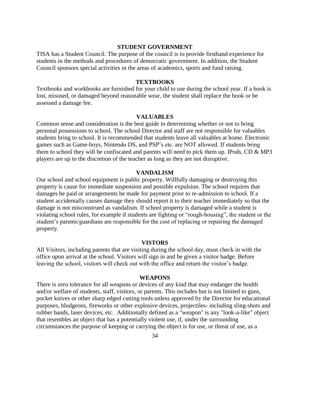#### **STUDENT GOVERNMENT**

TISA has a Student Council. The purpose of the council is to provide firsthand experience for students in the methods and procedures of democratic government. In addition, the Student Council sponsors special activities in the areas of academics, sports and fund raising.

#### **TEXTBOOKS**

Textbooks and workbooks are furnished for your child to use during the school year. If a book is lost, misused, or damaged beyond reasonable wear, the student shall replace the book or be assessed a damage fee.

#### **VALUABLES**

Common sense and consideration is the best guide in determining whether or not to bring personal possessions to school. The school Director and staff are not responsible for valuables students bring to school. It is recommended that students leave all valuables at home. Electronic games such as Game-boys, Nintendo DS, and PSP's etc. are NOT allowed. If students bring them to school they will be confiscated and parents will need to pick them up. IPods, CD & MP3 players are up to the discretion of the teacher as long as they are not disruptive.

#### **VANDALISM**

Our school and school equipment is public property. Willfully damaging or destroying this property is cause for immediate suspension and possible expulsion. The school requires that damages be paid or arrangements be made for payment prior to re-admission to school. If a student accidentally causes damage they should report it to their teacher immediately so that the damage is not misconstrued as vandalism. If school property is damaged while a student is violating school rules, for example if students are fighting or "rough-housing", the student or the student's parents/guardians are responsible for the cost of replacing or repairing the damaged property.

#### **VISTORS**

All Visitors, including parents that are visiting during the school day, must check in with the office upon arrival at the school. Visitors will sign in and be given a visitor badge. Before leaving the school, visitors will check out with the office and return the visitor's badge.

#### **WEAPONS**

There is zero tolerance for all weapons or devices of any kind that may endanger the health and/or welfare of students, staff, visitors, or parents. This includes but is not limited to guns, pocket knives or other sharp edged cutting tools unless approved by the Director for educational purposes, bludgeons, fireworks or other explosive devices, projectiles- including sling-shots and rubber bands, laser devices, etc. Additionally defined as a "weapon" is any "look-a-like" object that resembles an object that has a potentially violent use, if, under the surrounding circumstances the purpose of keeping or carrying the object is for use, or threat of use, as a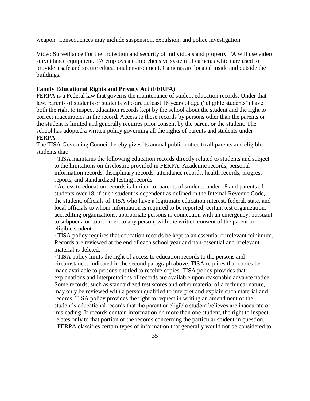weapon. Consequences may include suspension, expulsion, and police investigation.

Video Surveillance For the protection and security of individuals and property TA will use video surveillance equipment. TA employs a comprehensive system of cameras which are used to provide a safe and secure educational environment. Cameras are located inside and outside the buildings.

# **Family Educational Rights and Privacy Act (FERPA)**

FERPA is a Federal law that governs the maintenance of student education records. Under that law, parents of students or students who are at least 18 years of age ("eligible students") have both the right to inspect education records kept by the school about the student and the right to correct inaccuracies in the record. Access to these records by persons other than the parents or the student is limited and generally requires prior consent by the parent or the student. The school has adopted a written policy governing all the rights of parents and students under FERPA.

The TISA Governing Council hereby gives its annual public notice to all parents and eligible students that:

∙ TISA maintains the following education records directly related to students and subject to the limitations on disclosure provided in FERPA: Academic records, personal information records, disciplinary records, attendance records, health records, progress reports, and standardized testing records.

∙ Access to education records is limited to: parents of students under 18 and parents of students over 18, if such student is dependent as defined in the Internal Revenue Code, the student, officials of TISA who have a legitimate education interest, federal, state, and local officials to whom information is required to be reported, certain test organization, accrediting organizations, appropriate persons in connection with an emergency, pursuant to subpoena or court order, to any person, with the written consent of the parent or eligible student.

∙ TISA policy requires that education records be kept to an essential or relevant minimum. Records are reviewed at the end of each school year and non-essential and irrelevant material is deleted.

∙ TISA policy limits the right of access to education records to the persons and circumstances indicated in the second paragraph above. TISA requires that copies be made available to persons entitled to receive copies. TISA policy provides that explanations and interpretations of records are available upon reasonable advance notice. Some records, such as standardized test scores and other material of a technical nature, may only be reviewed with a person qualified to interpret and explain such material and records. TISA policy provides the right to request in writing an amendment of the student's educational records that the parent or eligible student believes are inaccurate or misleading. If records contain information on more than one student, the right to inspect relates only to that portion of the records concerning the particular student in question. ∙ FERPA classifies certain types of information that generally would not be considered to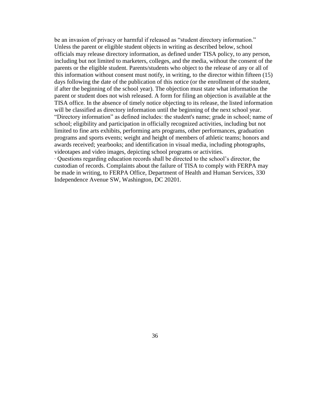be an invasion of privacy or harmful if released as "student directory information." Unless the parent or eligible student objects in writing as described below, school officials may release directory information, as defined under TISA policy, to any person, including but not limited to marketers, colleges, and the media, without the consent of the parents or the eligible student. Parents/students who object to the release of any or all of this information without consent must notify, in writing, to the director within fifteen (15) days following the date of the publication of this notice (or the enrollment of the student, if after the beginning of the school year). The objection must state what information the parent or student does not wish released. A form for filing an objection is available at the TISA office. In the absence of timely notice objecting to its release, the listed information will be classified as directory information until the beginning of the next school year. "Directory information" as defined includes: the student's name; grade in school; name of school; eligibility and participation in officially recognized activities, including but not limited to fine arts exhibits, performing arts programs, other performances, graduation programs and sports events; weight and height of members of athletic teams; honors and awards received; yearbooks; and identification in visual media, including photographs, videotapes and video images, depicting school programs or activities.

∙ Questions regarding education records shall be directed to the school's director, the custodian of records. Complaints about the failure of TISA to comply with FERPA may be made in writing, to FERPA Office, Department of Health and Human Services, 330 Independence Avenue SW, Washington, DC 20201.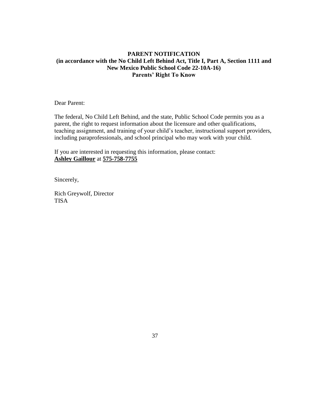# **PARENT NOTIFICATION (in accordance with the No Child Left Behind Act, Title I, Part A, Section 1111 and New Mexico Public School Code 22-10A-16) Parents' Right To Know**

Dear Parent:

The federal, No Child Left Behind, and the state, Public School Code permits you as a parent, the right to request information about the licensure and other qualifications, teaching assignment, and training of your child's teacher, instructional support providers, including paraprofessionals, and school principal who may work with your child.

If you are interested in requesting this information, please contact: **Ashley Gaillour** at **575-758-7755**

Sincerely,

Rich Greywolf, Director TISA